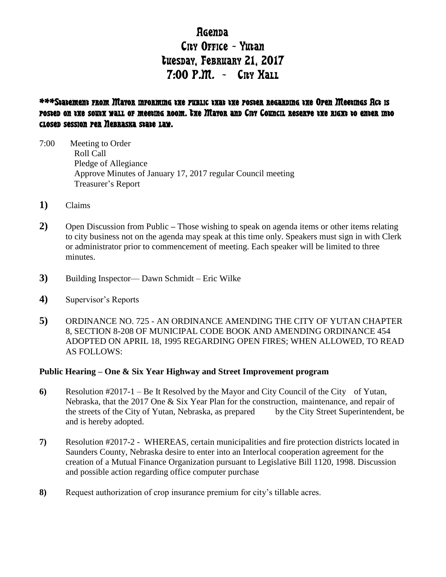# **R**Genda City Office - Yutan tuesday, February 21, 2017  $7:00$  P.M. - Cny Hall

# \*\*\*Statement from Mayor informing the public that the poster regarding the Open Meetings Act is posted on the south wall of meeting room. The Mayor and City Council reserve the right to enter into closed session per Nebraska state law.

- 7:00 Meeting to Order Roll Call Pledge of Allegiance Approve Minutes of January 17, 2017 regular Council meeting Treasurer's Report
- **1)** Claims
- **2)** Open Discussion from Public **–** Those wishing to speak on agenda items or other items relating to city business not on the agenda may speak at this time only. Speakers must sign in with Clerk or administrator prior to commencement of meeting. Each speaker will be limited to three minutes.
- **3)** Building Inspector— Dawn Schmidt Eric Wilke
- **4)** Supervisor's Reports
- **5)** ORDINANCE NO. 725 AN ORDINANCE AMENDING THE CITY OF YUTAN CHAPTER 8, SECTION 8-208 OF MUNICIPAL CODE BOOK AND AMENDING ORDINANCE 454 ADOPTED ON APRIL 18, 1995 REGARDING OPEN FIRES; WHEN ALLOWED, TO READ AS FOLLOWS:

## **Public Hearing – One & Six Year Highway and Street Improvement program**

- **6)** Resolution #2017-1 Be It Resolved by the Mayor and City Council of the City of Yutan, Nebraska, that the 2017 One & Six Year Plan for the construction, maintenance, and repair of the streets of the City of Yutan, Nebraska, as prepared by the City Street Superintendent, be and is hereby adopted.
- **7)** Resolution #2017-2 WHEREAS, certain municipalities and fire protection districts located in Saunders County, Nebraska desire to enter into an Interlocal cooperation agreement for the creation of a Mutual Finance Organization pursuant to Legislative Bill 1120, 1998. Discussion and possible action regarding office computer purchase
- **8)** Request authorization of crop insurance premium for city's tillable acres.